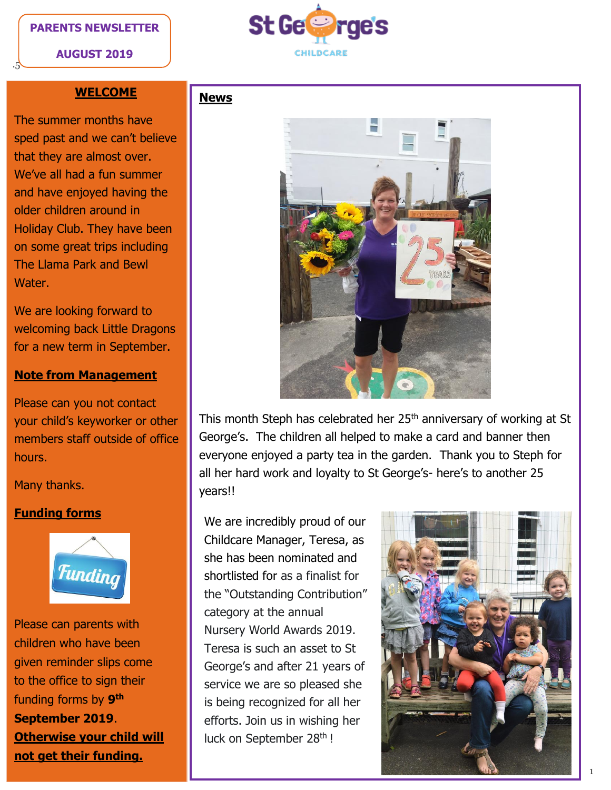#### **PARENTS NEWSLETTER**

**AUGUST 2019**

.5



### **WELCOME**

The summer months have sped past and we can't believe that they are almost over. We've all had a fun summer and have enjoyed having the older children around in Holiday Club. They have been on some great trips including The Llama Park and Bewl Water.

We are looking forward to welcoming back Little Dragons for a new term in September.

#### **Note from Management**

Please can you not contact your child's keyworker or other members staff outside of office hours.

Many thanks.

### **Funding forms**



Please can parents with children who have been given reminder slips come to the office to sign their funding forms by **9 th September 2019**. **Otherwise your child will not get their funding.** 

# **News**



This month Steph has celebrated her 25<sup>th</sup> anniversary of working at St George's. The children all helped to make a card and banner then everyone enjoyed a party tea in the garden. Thank you to Steph for all her hard work and loyalty to St George's- here's to another 25 years!!

We are incredibly proud of our Childcare Manager, Teresa, as she has been nominated and shortlisted for as a finalist for the "Outstanding Contribution" category at the annual Nursery World Awards 2019. Teresa is such an asset to St George's and after 21 years of service we are so pleased she is being recognized for all her efforts. Join us in wishing her luck on September 28<sup>th</sup> !

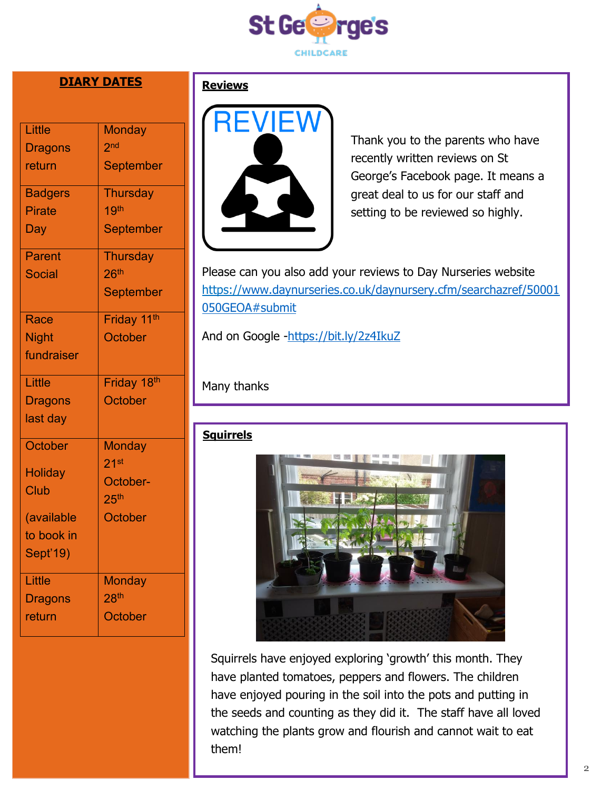

# **DIARY DATES**

| Little<br><b>Dragons</b><br>return<br><b>Badgers</b><br><b>Pirate</b><br>Day<br><b>Parent</b><br><b>Social</b> | <b>Monday</b><br>2 <sub>nd</sub><br><b>September</b><br><b>Thursday</b><br>19 <sup>th</sup><br><b>September</b><br><b>Thursday</b><br>26 <sup>th</sup><br><b>September</b> |
|----------------------------------------------------------------------------------------------------------------|----------------------------------------------------------------------------------------------------------------------------------------------------------------------------|
| Race<br><b>Night</b><br>fundraiser<br>Little<br><b>Dragons</b><br>last day                                     | Friday 11 <sup>th</sup><br>October<br>Friday 18th<br><b>October</b>                                                                                                        |
| October<br><b>Holiday</b><br><b>Club</b><br>(available<br>to book in<br>Sept'19)                               | <b>Monday</b><br>21 <sup>st</sup><br>October-<br>25 <sup>th</sup><br><b>October</b>                                                                                        |
| Little<br><b>Dragons</b><br>return                                                                             | <b>Monday</b><br>28 <sup>th</sup><br>October                                                                                                                               |

### **Reviews**



Thank you to the parents who have recently written reviews on St George's Facebook page. It means a great deal to us for our staff and setting to be reviewed so highly.

Please can you also add your reviews to Day Nurseries website https:/[/www.daynurseries.co.uk/daynursery.cfm/searchazref/50001](http://www.daynurseries.co.uk/daynursery.cfm/searchazref/50001050GEOA#submit) [050GEOA#submit](http://www.daynurseries.co.uk/daynursery.cfm/searchazref/50001050GEOA#submit)

And on Google [-https://bit.ly/2z4IkuZ](https://bit.ly/2z4IkuZ)

# Many thanks

### **Squirrels**



Squirrels have enjoyed exploring 'growth' this month. They have planted tomatoes, peppers and flowers. The children have enjoyed pouring in the soil into the pots and putting in the seeds and counting as they did it. The staff have all loved watching the plants grow and flourish and cannot wait to eat them!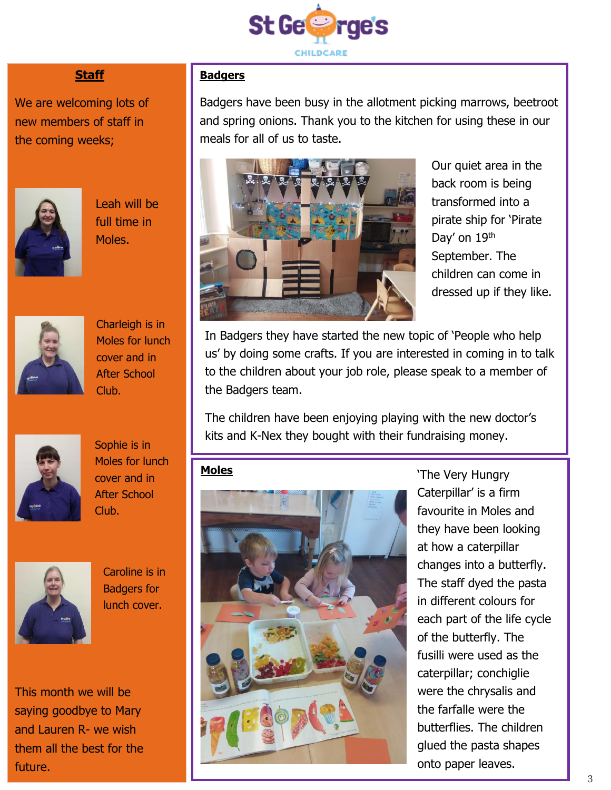

# **Staff**

We are welcoming lots of new members of staff in the coming weeks;



Leah will be full time in Moles.



Charleigh is in Moles for lunch cover and in After School Club.



Sophie is in Moles for lunch cover and in After School Club.



Caroline is in Badgers for lunch cover.

This month we will be saying goodbye to Mary and Lauren R- we wish them all the best for the future.

# **Badgers**

Badgers have been busy in the allotment picking marrows, beetroot and spring onions. Thank you to the kitchen for using these in our meals for all of us to taste.



Our quiet area in the back room is being transformed into a pirate ship for 'Pirate Day' on 19th September. The children can come in dressed up if they like.

In Badgers they have started the new topic of 'People who help us' by doing some crafts. If you are interested in coming in to talk to the children about your job role, please speak to a member of the Badgers team.

The children have been enjoying playing with the new doctor's kits and K-Nex they bought with their fundraising money.

### **Moles**



'The Very Hungry Caterpillar' is a firm favourite in Moles and they have been looking at how a caterpillar changes into a butterfly. The staff dyed the pasta in different colours for each part of the life cycle of the butterfly. The fusilli were used as the caterpillar; conchiglie were the chrysalis and the farfalle were the butterflies. The children glued the pasta shapes onto paper leaves.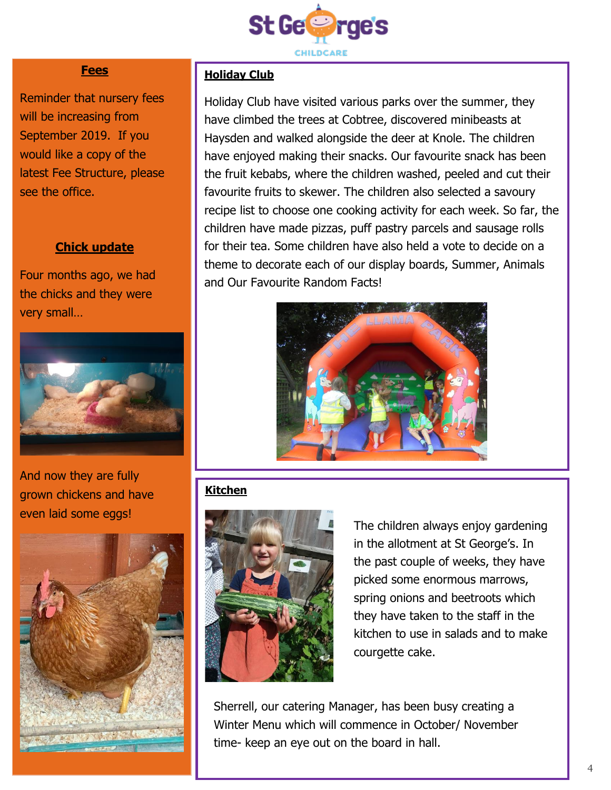

### **Fees**

Reminder that nursery fees will be increasing from September 2019. If you would like a copy of the latest Fee Structure, please see the office.

### **Chick update**

Four months ago, we had the chicks and they were very small…



And now they are fully grown chickens and have even laid some eggs!



### **Holiday Club**

Holiday Club have visited various parks over the summer, they have climbed the trees at Cobtree, discovered minibeasts at Haysden and walked alongside the deer at Knole. The children have enjoyed making their snacks. Our favourite snack has been the fruit kebabs, where the children washed, peeled and cut their favourite fruits to skewer. The children also selected a savoury recipe list to choose one cooking activity for each week. So far, the children have made pizzas, puff pastry parcels and sausage rolls for their tea. Some children have also held a vote to decide on a theme to decorate each of our display boards, Summer, Animals and Our Favourite Random Facts!



# **Kitchen**



The children always enjoy gardening in the allotment at St George's. In the past couple of weeks, they have picked some enormous marrows, spring onions and beetroots which they have taken to the staff in the kitchen to use in salads and to make courgette cake.

Sherrell, our catering Manager, has been busy creating a Winter Menu which will commence in October/ November time- keep an eye out on the board in hall.